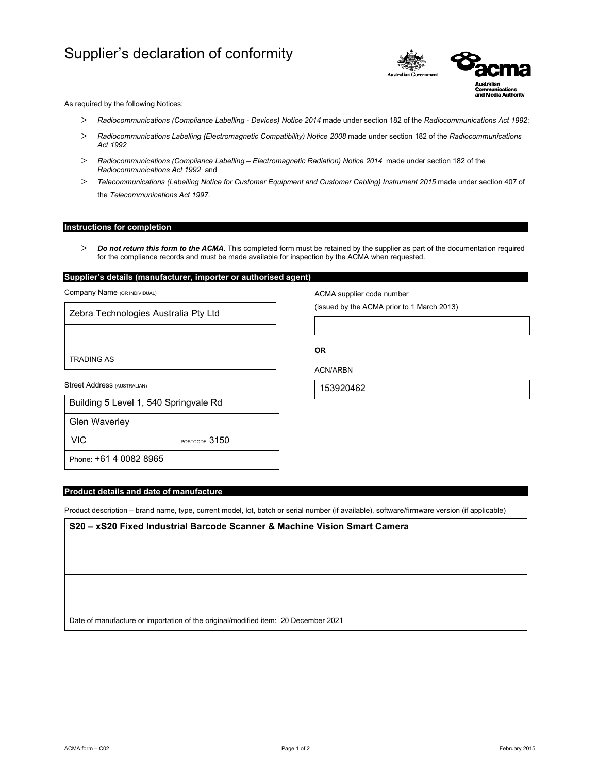# Supplier's declaration of conformity



As required by the following Notices:

- *Radiocommunications (Compliance Labelling Devices) Notice 2014* made under section 182 of the *Radiocommunications Act 1992*;
- *Radiocommunications Labelling (Electromagnetic Compatibility) Notice 2008* made under section 182 of the *Radiocommunications Act 1992*
- *Radiocommunications (Compliance Labelling Electromagnetic Radiation) Notice 2014* made under section 182 of the *Radiocommunications Act 1992* and
- *Telecommunications (Labelling Notice for Customer Equipment and Customer Cabling) Instrument 2015* made under section 407 of the *Telecommunications Act 1997*.

### **Instructions for completion**

 *Do not return this form to the ACMA*. This completed form must be retained by the supplier as part of the documentation required for the compliance records and must be made available for inspection by the ACMA when requested.

## **Supplier's details (manufacturer, importer or authorised agent)**

Company Name (OR INDIVIDUAL)

Zebra Technologies Australia Pty Ltd

TRADING AS

Street Address (AUSTRALIAN)

|  |  | Building 5 Level 1, 540 Springvale Rd |  |
|--|--|---------------------------------------|--|
|  |  |                                       |  |

Glen Waverley

VIC POSTCODE 3150

Phone: +61 4 0082 8965

### **Product details and date of manufacture**

Product description – brand name, type, current model, lot, batch or serial number (if available), software/firmware version (if applicable)

**S20 – xS20 Fixed Industrial Barcode Scanner & Machine Vision Smart Camera** Date of manufacture or importation of the original/modified item: 20 December 2021

ACMA form – C02 Page 1 of 2 February 2015

ACMA supplier code number

(issued by the ACMA prior to 1 March 2013)

**OR** 

ACN/ARBN

153920462